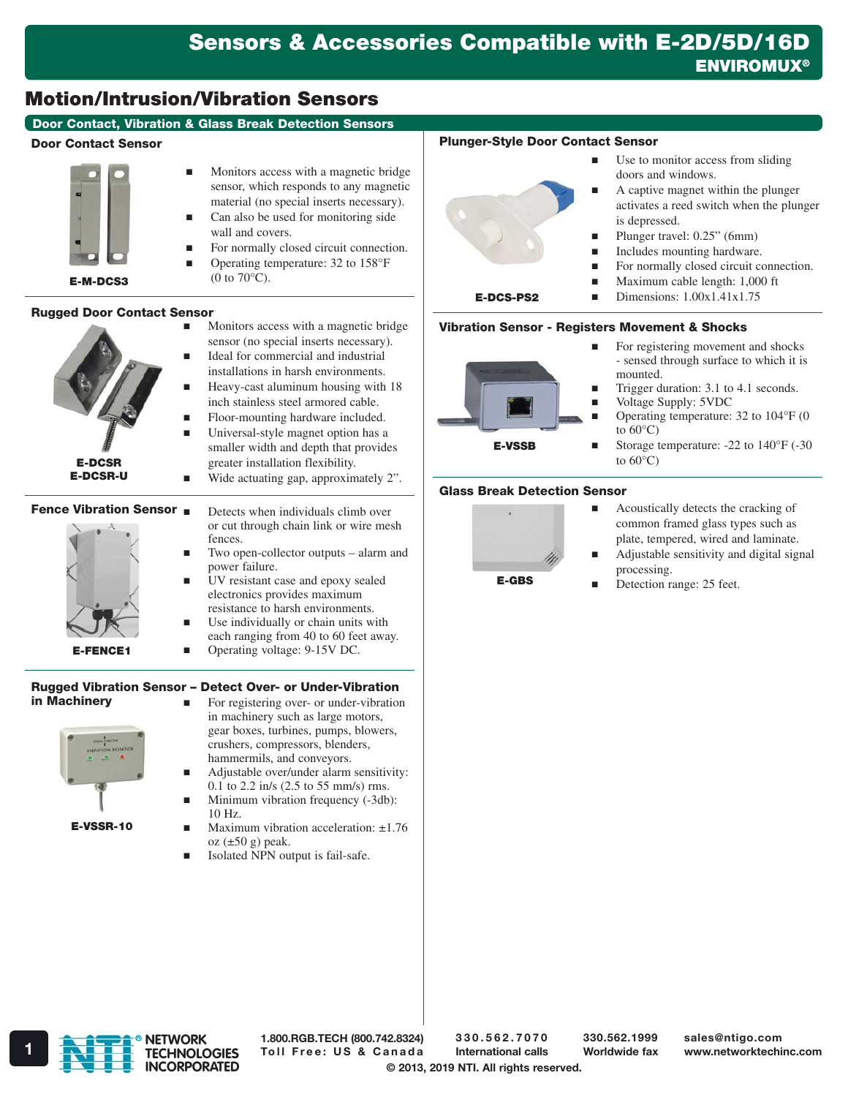## Motion/Intrusion/Vibration Sensors

### Door Contact, Vibration & Glass Break Detection Sensors

#### Door Contact Sensor



- Monitors access with a magnetic bridge sensor, which responds to any magnetic material (no special inserts necessary). Can also be used for monitoring side
- wall and covers.
- For normally closed circuit connection.
- Operating temperature: 32 to 158°F (0 to  $70^{\circ}$ C).

#### Rugged Door Contact Sensor

| <b>E-DCSR</b><br><b>E-DCSR-U</b>                 | Monitors access with a magnetic bridge.<br>sensor (no special inserts necessary).<br>Ideal for commercial and industrial<br>installations in harsh environments.<br>Heavy-cast aluminum housing with 18<br>inch stainless steel armored cable.<br>Floor-mounting hardware included.<br>Universal-style magnet option has a<br>smaller width and depth that provides<br>greater installation flexibility.<br>Wide actuating gap, approximately 2". |
|--------------------------------------------------|---------------------------------------------------------------------------------------------------------------------------------------------------------------------------------------------------------------------------------------------------------------------------------------------------------------------------------------------------------------------------------------------------------------------------------------------------|
| <b>Fence Vibration Sensor</b><br><b>E-FENCE1</b> | Detects when individuals climb over<br>or cut through chain link or wire mesh<br>fences.<br>Two open-collector outputs – alarm and<br>power failure.<br>UV resistant case and epoxy sealed<br>electronics provides maximum<br>resistance to harsh environments.<br>Use individually or chain units with<br>each ranging from 40 to 60 feet away.<br>Operating voltage: 9-15V DC.                                                                  |
| in Machinery                                     | Rugged Vibration Sensor - Detect Over- or Under-Vibration<br>For registering over- or under-vibration<br>in machinery such as large motors,<br>gear boxes, turbines, pumps, blowers,<br>amiahana aaminingaana handana.                                                                                                                                                                                                                            |



- crushers, compressors, blenders, hammermils, and conveyors. Adjustable over/under alarm sensitivity:
- 0.1 to 2.2 in/s (2.5 to 55 mm/s) rms. Minimum vibration frequency (-3db):
- 10 Hz. Maximum vibration acceleration: ±1.76
- oz  $(\pm 50 \text{ g})$  peak.
- Isolated NPN output is fail-safe.

#### Plunger-Style Door Contact Sensor

 Use to monitor access from sliding doors and windows. A captive magnet within the plunger activates a reed switch when the plunger is depressed. Plunger travel: 0.25" (6mm) **Includes mounting hardware.** For normally closed circuit connection. Maximum cable length: 1,000 ft Dimensions: 1.00x1.41x1.75 E-DCS-PS2

#### Vibration Sensor - Registers Movement & Shocks



- For registering movement and shocks - sensed through surface to which it is mounted.
- Trigger duration: 3.1 to 4.1 seconds.
- **Noltage Supply: 5VDC** 
	- Operating temperature: 32 to 104°F (0 to  $60^{\circ}$ C)
- Storage temperature:  $-22$  to  $140^{\circ}$ F ( $-30$ ) to  $60^{\circ}$ C)

#### Glass Break Detection Sensor



- Acoustically detects the cracking of common framed glass types such as plate, tempered, wired and laminate.
- Adjustable sensitivity and digital signal processing.
- Detection range: 25 feet.



1.800.RGB.TECH (800.742.8324)

330.562.7070 International calls

330.562.1999 Worldwide fax

© 2013, 2019 NTI. All rights reserved.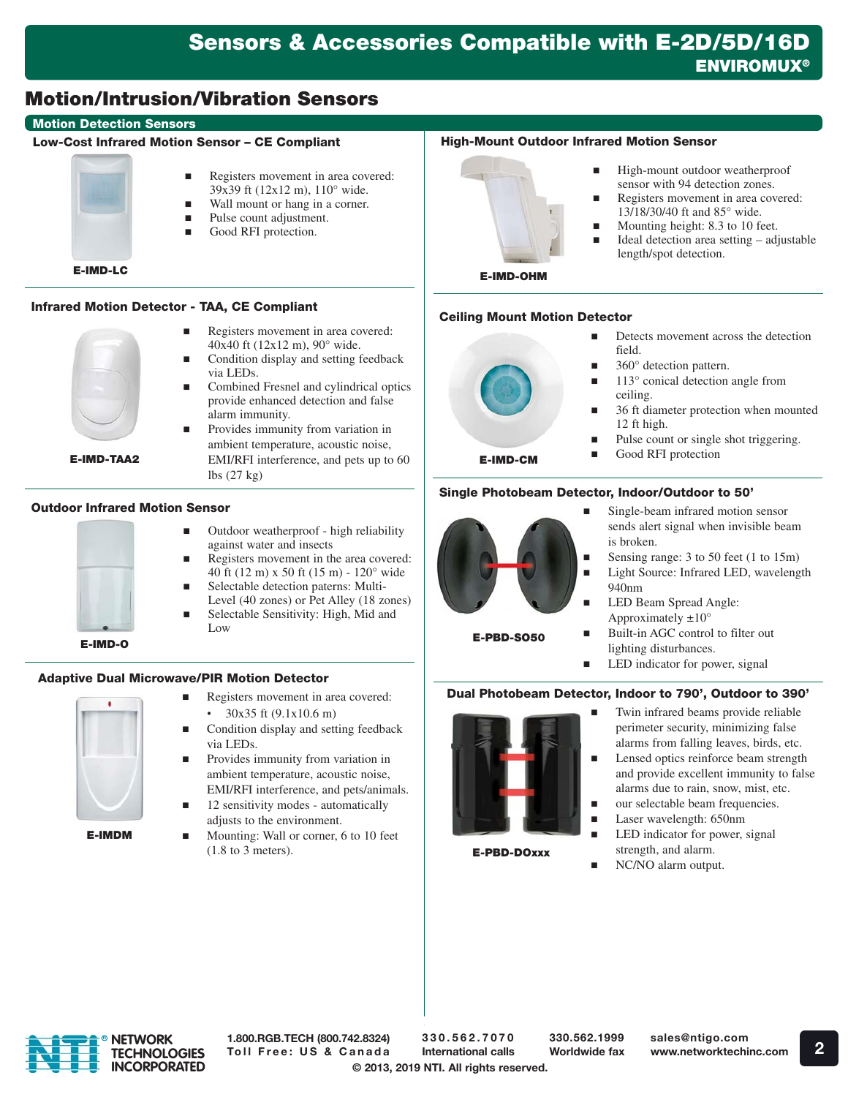## Motion/Intrusion/Vibration Sensors

#### Motion Detection Sensors

#### Low-Cost Infrared Motion Sensor – CE Compliant



E-IMD-LC

#### Infrared Motion Detector - TAA, CE Compliant



E-IMD-TAA2

 Registers movement in area covered: 40x40 ft (12x12 m), 90° wide. Condition display and setting feedback

Registers movement in area covered: 39x39 ft (12x12 m), 110° wide. Wall mount or hang in a corner.

■ Pulse count adjustment. Good RFI protection.

- via LEDs. Combined Fresnel and cylindrical optics
- provide enhanced detection and false alarm immunity.
- Provides immunity from variation in ambient temperature, acoustic noise, EMI/RFI interference, and pets up to 60 lbs (27 kg)

#### Outdoor Infrared Motion Sensor



- Outdoor weatherproof high reliability against water and insects
- Registers movement in the area covered: 40 ft (12 m) x 50 ft (15 m) - 120° wide
- Selectable detection paterns: Multi-Level (40 zones) or Pet Alley (18 zones)
	- Selectable Sensitivity: High, Mid and Low

#### Adaptive Dual Microwave/PIR Motion Detector



E-IMDM

- Registers movement in area covered: • 30x35 ft (9.1x10.6 m)
- Condition display and setting feedback via LEDs.
- Provides immunity from variation in ambient temperature, acoustic noise, EMI/RFI interference, and pets/animals.
- 12 sensitivity modes automatically adjusts to the environment.
- Mounting: Wall or corner, 6 to 10 feet (1.8 to 3 meters).

#### High-Mount Outdoor Infrared Motion Sensor

- High-mount outdoor weatherproof sensor with 94 detection zones.
- Registers movement in area covered: 13/18/30/40 ft and 85° wide.
- Mounting height: 8.3 to 10 feet.
- $\blacksquare$  Ideal detection area setting adjustable length/spot detection.
- E-IMD-OHM

#### Ceiling Mount Motion Detector



- Detects movement across the detection field.
- 360° detection pattern.
- 113° conical detection angle from ceiling.
- 36 ft diameter protection when mounted 12 ft high.
- Pulse count or single shot triggering.
- Good RFI protection

#### Single Photobeam Detector, Indoor/Outdoor to 50'



- Single-beam infrared motion sensor sends alert signal when invisible beam is broken.
- Sensing range: 3 to 50 feet (1 to 15m)
- Light Source: Infrared LED, wavelength 940nm
- **LED Beam Spread Angle:** Approximately  $\pm 10^{\circ}$

E-PBD-SO50

- Built-in AGC control to filter out lighting disturbances.
- LED indicator for power, signal

#### Dual Photobeam Detector, Indoor to 790', Outdoor to 390'



E-PBD-DOxxx

- Twin infrared beams provide reliable perimeter security, minimizing false alarms from falling leaves, birds, etc.
- Lensed optics reinforce beam strength and provide excellent immunity to false alarms due to rain, snow, mist, etc.
- our selectable beam frequencies.
- Laser wavelength: 650nm
- LED indicator for power, signal strength, and alarm.
- NC/NO alarm output.



1.800.RGB.TECH (800.742.8324) Toll Free: US & Canada 330.562.1999 Worldwide fax

- 
-